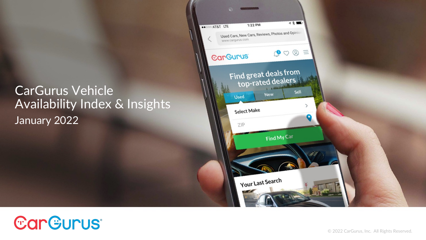### CarGurus Vehicle Availability Index & Insights January 2022



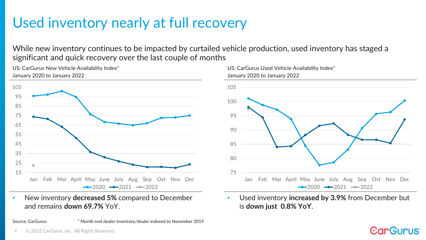## Used inventory nearly at full recovery

While new inventory continues to be impacted by curtailed vehicle production, used inventory has staged a significant and quick recovery over the last couple of months



US: CarGurus New Vehicle Availability Index\*

• New inventory **decreased 5%** compared to December and remains **down 69.7%** YoY.

Source: CarGurus \* Month end dealer inventory/dealer indexed to November 2019



• Used inventory **increased by 3.9%** from December but is **down just 0.8% YoY**.

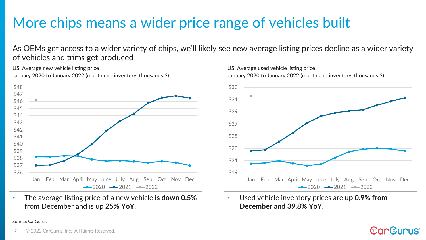### More chips means a wider price range of vehicles built

As OEMs get access to a wider variety of chips, we'll likely see new average listing prices decline as a wider variety of vehicles and trims get produced

US: Average new vehicle listing price January 2020 to January 2022 (month end inventory, thousands \$)



• The average listing price of a new vehicle **is down 0.5%**  from December and is up **25% YoY**.

### Source: CarGurus



• Used vehicle inventory prices are **up 0.9% from December** and **39.8% YoY.**

**EarGurus** 

### 3 © 2022 CarGurus, Inc. All Rights Reserved.